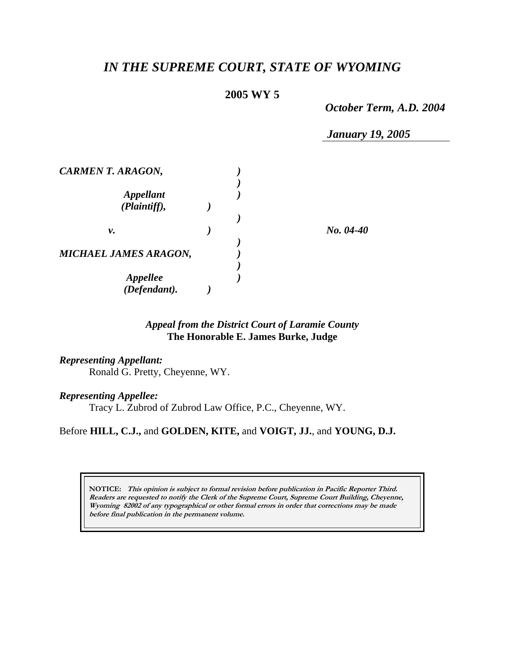# *IN THE SUPREME COURT, STATE OF WYOMING*

# **2005 WY 5**

*October Term, A.D. 2004* 

*January 19, 2005* 

| <b>CARMEN T. ARAGON,</b>     |  |             |
|------------------------------|--|-------------|
|                              |  |             |
| <b>Appellant</b>             |  |             |
| (Plaintiff),                 |  |             |
|                              |  |             |
| ν.                           |  | $No. 04-40$ |
|                              |  |             |
| <b>MICHAEL JAMES ARAGON,</b> |  |             |
|                              |  |             |
| Appellee                     |  |             |
| (Defendant).                 |  |             |

# *Appeal from the District Court of Laramie County* **The Honorable E. James Burke, Judge**

### *Representing Appellant:*

Ronald G. Pretty, Cheyenne, WY.

### *Representing Appellee:*

Tracy L. Zubrod of Zubrod Law Office, P.C., Cheyenne, WY.

### Before **HILL, C.J.,** and **GOLDEN, KITE,** and **VOIGT, JJ.**, and **YOUNG, D.J.**

**NOTICE: This opinion is subject to formal revision before publication in Pacific Reporter Third. Readers are requested to notify the Clerk of the Supreme Court, Supreme Court Building, Cheyenne, Wyoming 82002 of any typographical or other formal errors in order that corrections may be made before final publication in the permanent volume.**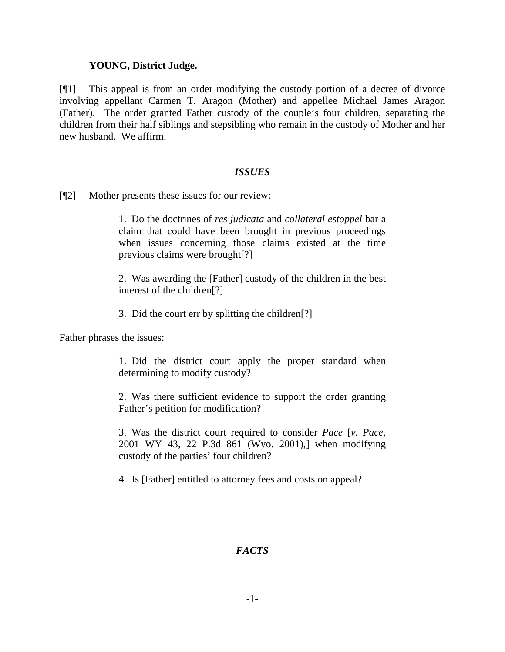# **YOUNG, District Judge.**

[¶1] This appeal is from an order modifying the custody portion of a decree of divorce involving appellant Carmen T. Aragon (Mother) and appellee Michael James Aragon (Father). The order granted Father custody of the couple's four children, separating the children from their half siblings and stepsibling who remain in the custody of Mother and her new husband. We affirm.

# *ISSUES*

[¶2] Mother presents these issues for our review:

1. Do the doctrines of *res judicata* and *collateral estoppel* bar a claim that could have been brought in previous proceedings when issues concerning those claims existed at the time previous claims were brought[?]

2. Was awarding the [Father] custody of the children in the best interest of the children[?]

3. Did the court err by splitting the children[?]

Father phrases the issues:

1. Did the district court apply the proper standard when determining to modify custody?

2. Was there sufficient evidence to support the order granting Father's petition for modification?

3. Was the district court required to consider *Pace* [*v. Pace*, 2001 WY 43, 22 P.3d 861 (Wyo. 2001),] when modifying custody of the parties' four children?

4. Is [Father] entitled to attorney fees and costs on appeal?

# *FACTS*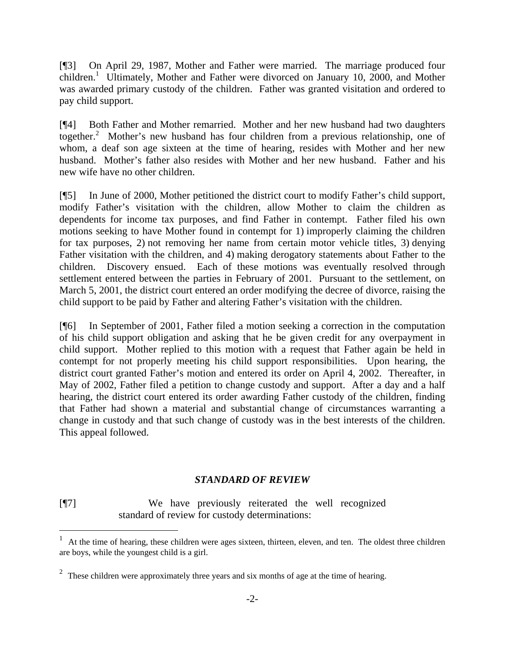[¶3] On April 29, 1987, Mother and Father were married. The marriage produced four children.<sup>[1](#page-2-0)</sup> Ultimately, Mother and Father were divorced on January 10, 2000, and Mother was awarded primary custody of the children. Father was granted visitation and ordered to pay child support.

[¶4] Both Father and Mother remarried. Mother and her new husband had two daughters together.<sup>[2](#page-2-1)</sup> Mother's new husband has four children from a previous relationship, one of whom, a deaf son age sixteen at the time of hearing, resides with Mother and her new husband. Mother's father also resides with Mother and her new husband. Father and his new wife have no other children.

[¶5] In June of 2000, Mother petitioned the district court to modify Father's child support, modify Father's visitation with the children, allow Mother to claim the children as dependents for income tax purposes, and find Father in contempt. Father filed his own motions seeking to have Mother found in contempt for 1) improperly claiming the children for tax purposes, 2) not removing her name from certain motor vehicle titles, 3) denying Father visitation with the children, and 4) making derogatory statements about Father to the children. Discovery ensued. Each of these motions was eventually resolved through settlement entered between the parties in February of 2001. Pursuant to the settlement, on March 5, 2001, the district court entered an order modifying the decree of divorce, raising the child support to be paid by Father and altering Father's visitation with the children.

[¶6] In September of 2001, Father filed a motion seeking a correction in the computation of his child support obligation and asking that he be given credit for any overpayment in child support. Mother replied to this motion with a request that Father again be held in contempt for not properly meeting his child support responsibilities. Upon hearing, the district court granted Father's motion and entered its order on April 4, 2002. Thereafter, in May of 2002, Father filed a petition to change custody and support. After a day and a half hearing, the district court entered its order awarding Father custody of the children, finding that Father had shown a material and substantial change of circumstances warranting a change in custody and that such change of custody was in the best interests of the children. This appeal followed.

### *STANDARD OF REVIEW*

[¶7] We have previously reiterated the well recognized standard of review for custody determinations:

 $\overline{a}$ 

<span id="page-2-0"></span><sup>1</sup> At the time of hearing, these children were ages sixteen, thirteen, eleven, and ten. The oldest three children are boys, while the youngest child is a girl.

<span id="page-2-1"></span> $2\degree$  These children were approximately three years and six months of age at the time of hearing.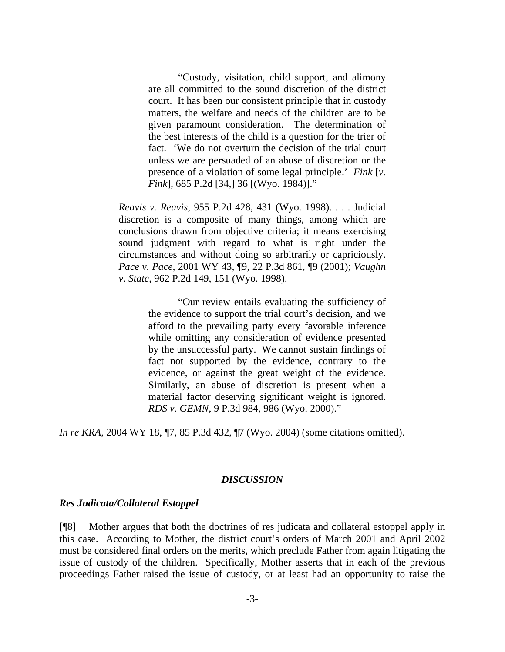"Custody, visitation, child support, and alimony are all committed to the sound discretion of the district court. It has been our consistent principle that in custody matters, the welfare and needs of the children are to be given paramount consideration. The determination of the best interests of the child is a question for the trier of fact. 'We do not overturn the decision of the trial court unless we are persuaded of an abuse of discretion or the presence of a violation of some legal principle.' *Fink* [*v. Fink*], 685 P.2d [34,] 36 [(Wyo. 1984)]."

*Reavis v. Reavis*, 955 P.2d 428, 431 (Wyo. 1998). . . . Judicial discretion is a composite of many things, among which are conclusions drawn from objective criteria; it means exercising sound judgment with regard to what is right under the circumstances and without doing so arbitrarily or capriciously. *Pace v. Pace*, 2001 WY 43, ¶9, 22 P.3d 861, ¶9 (2001); *Vaughn v. State*, 962 P.2d 149, 151 (Wyo. 1998).

> "Our review entails evaluating the sufficiency of the evidence to support the trial court's decision, and we afford to the prevailing party every favorable inference while omitting any consideration of evidence presented by the unsuccessful party. We cannot sustain findings of fact not supported by the evidence, contrary to the evidence, or against the great weight of the evidence. Similarly, an abuse of discretion is present when a material factor deserving significant weight is ignored. *RDS v. GEMN*, 9 P.3d 984, 986 (Wyo. 2000)."

*In re KRA*, 2004 WY 18, ¶7, 85 P.3d 432, ¶7 (Wyo. 2004) (some citations omitted).

### *DISCUSSION*

### *Res Judicata/Collateral Estoppel*

[¶8] Mother argues that both the doctrines of res judicata and collateral estoppel apply in this case. According to Mother, the district court's orders of March 2001 and April 2002 must be considered final orders on the merits, which preclude Father from again litigating the issue of custody of the children. Specifically, Mother asserts that in each of the previous proceedings Father raised the issue of custody, or at least had an opportunity to raise the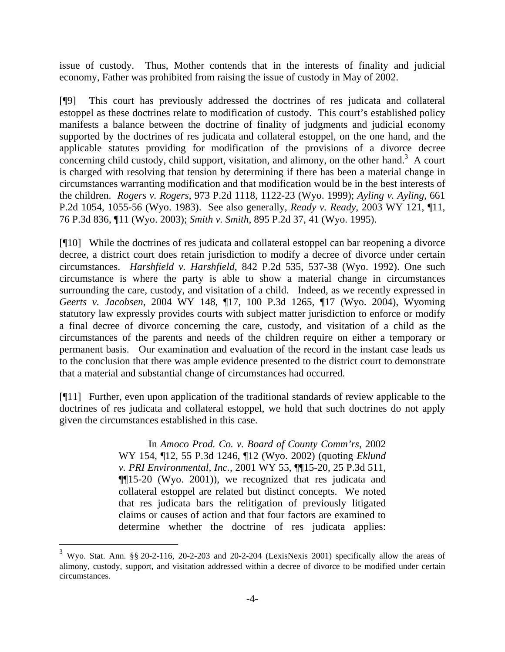issue of custody. Thus, Mother contends that in the interests of finality and judicial economy, Father was prohibited from raising the issue of custody in May of 2002.

[¶9] This court has previously addressed the doctrines of res judicata and collateral estoppel as these doctrines relate to modification of custody. This court's established policy manifests a balance between the doctrine of finality of judgments and judicial economy supported by the doctrines of res judicata and collateral estoppel, on the one hand, and the applicable statutes providing for modification of the provisions of a divorce decree concerning child custody, child support, visitation, and alimony, on the other hand. $3$  A court is charged with resolving that tension by determining if there has been a material change in circumstances warranting modification and that modification would be in the best interests of the children. *Rogers v. Rogers*, 973 P.2d 1118, 1122-23 (Wyo. 1999); *Ayling v. Ayling*, 661 P.2d 1054, 1055-56 (Wyo. 1983). See also generally, *Ready v. Ready*, 2003 WY 121, ¶11, 76 P.3d 836, ¶11 (Wyo. 2003); *Smith v. Smith*, 895 P.2d 37, 41 (Wyo. 1995).

[¶10] While the doctrines of res judicata and collateral estoppel can bar reopening a divorce decree, a district court does retain jurisdiction to modify a decree of divorce under certain circumstances. *Harshfield v. Harshfield*, 842 P.2d 535, 537-38 (Wyo. 1992). One such circumstance is where the party is able to show a material change in circumstances surrounding the care, custody, and visitation of a child. Indeed, as we recently expressed in *Geerts v. Jacobsen*, 2004 WY 148, ¶17, 100 P.3d 1265, ¶17 (Wyo. 2004), Wyoming statutory law expressly provides courts with subject matter jurisdiction to enforce or modify a final decree of divorce concerning the care, custody, and visitation of a child as the circumstances of the parents and needs of the children require on either a temporary or permanent basis. Our examination and evaluation of the record in the instant case leads us to the conclusion that there was ample evidence presented to the district court to demonstrate that a material and substantial change of circumstances had occurred.

[¶11] Further, even upon application of the traditional standards of review applicable to the doctrines of res judicata and collateral estoppel, we hold that such doctrines do not apply given the circumstances established in this case.

> In *Amoco Prod. Co. v. Board of County Comm'rs*, 2002 WY 154, ¶12, 55 P.3d 1246, ¶12 (Wyo. 2002) (quoting *Eklund v. PRI Environmental, Inc.*, 2001 WY 55, ¶¶15-20, 25 P.3d 511, ¶¶15-20 (Wyo. 2001)), we recognized that res judicata and collateral estoppel are related but distinct concepts. We noted that res judicata bars the relitigation of previously litigated claims or causes of action and that four factors are examined to determine whether the doctrine of res judicata applies:

 $\overline{a}$ 

<span id="page-4-0"></span><sup>&</sup>lt;sup>3</sup> Wyo. Stat. Ann. §§ 20-2-116, 20-2-203 and 20-2-204 (LexisNexis 2001) specifically allow the areas of alimony, custody, support, and visitation addressed within a decree of divorce to be modified under certain circumstances.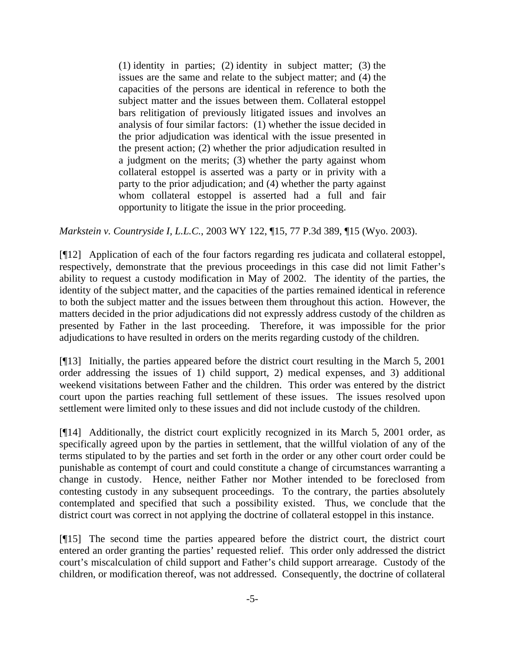(1) identity in parties; (2) identity in subject matter; (3) the issues are the same and relate to the subject matter; and (4) the capacities of the persons are identical in reference to both the subject matter and the issues between them. Collateral estoppel bars relitigation of previously litigated issues and involves an analysis of four similar factors: (1) whether the issue decided in the prior adjudication was identical with the issue presented in the present action; (2) whether the prior adjudication resulted in a judgment on the merits; (3) whether the party against whom collateral estoppel is asserted was a party or in privity with a party to the prior adjudication; and (4) whether the party against whom collateral estoppel is asserted had a full and fair opportunity to litigate the issue in the prior proceeding.

*Markstein v. Countryside I, L.L.C.*, 2003 WY 122, ¶15, 77 P.3d 389, ¶15 (Wyo. 2003).

[¶12] Application of each of the four factors regarding res judicata and collateral estoppel, respectively, demonstrate that the previous proceedings in this case did not limit Father's ability to request a custody modification in May of 2002. The identity of the parties, the identity of the subject matter, and the capacities of the parties remained identical in reference to both the subject matter and the issues between them throughout this action. However, the matters decided in the prior adjudications did not expressly address custody of the children as presented by Father in the last proceeding. Therefore, it was impossible for the prior adjudications to have resulted in orders on the merits regarding custody of the children.

[¶13] Initially, the parties appeared before the district court resulting in the March 5, 2001 order addressing the issues of 1) child support, 2) medical expenses, and 3) additional weekend visitations between Father and the children. This order was entered by the district court upon the parties reaching full settlement of these issues. The issues resolved upon settlement were limited only to these issues and did not include custody of the children.

[¶14] Additionally, the district court explicitly recognized in its March 5, 2001 order, as specifically agreed upon by the parties in settlement, that the willful violation of any of the terms stipulated to by the parties and set forth in the order or any other court order could be punishable as contempt of court and could constitute a change of circumstances warranting a change in custody. Hence, neither Father nor Mother intended to be foreclosed from contesting custody in any subsequent proceedings. To the contrary, the parties absolutely contemplated and specified that such a possibility existed. Thus, we conclude that the district court was correct in not applying the doctrine of collateral estoppel in this instance.

[¶15] The second time the parties appeared before the district court, the district court entered an order granting the parties' requested relief. This order only addressed the district court's miscalculation of child support and Father's child support arrearage. Custody of the children, or modification thereof, was not addressed. Consequently, the doctrine of collateral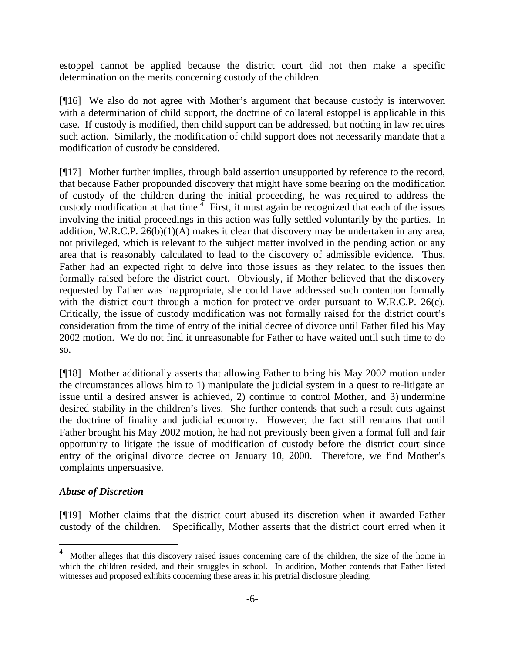estoppel cannot be applied because the district court did not then make a specific determination on the merits concerning custody of the children.

[¶16] We also do not agree with Mother's argument that because custody is interwoven with a determination of child support, the doctrine of collateral estoppel is applicable in this case. If custody is modified, then child support can be addressed, but nothing in law requires such action. Similarly, the modification of child support does not necessarily mandate that a modification of custody be considered.

[¶17] Mother further implies, through bald assertion unsupported by reference to the record, that because Father propounded discovery that might have some bearing on the modification of custody of the children during the initial proceeding, he was required to address the custody modification at that time.<sup> $\overline{4}$  $\overline{4}$  $\overline{4}$ </sup> First, it must again be recognized that each of the issues involving the initial proceedings in this action was fully settled voluntarily by the parties. In addition, W.R.C.P.  $26(b)(1)(A)$  makes it clear that discovery may be undertaken in any area, not privileged, which is relevant to the subject matter involved in the pending action or any area that is reasonably calculated to lead to the discovery of admissible evidence. Thus, Father had an expected right to delve into those issues as they related to the issues then formally raised before the district court. Obviously, if Mother believed that the discovery requested by Father was inappropriate, she could have addressed such contention formally with the district court through a motion for protective order pursuant to W.R.C.P. 26(c). Critically, the issue of custody modification was not formally raised for the district court's consideration from the time of entry of the initial decree of divorce until Father filed his May 2002 motion. We do not find it unreasonable for Father to have waited until such time to do so.

[¶18] Mother additionally asserts that allowing Father to bring his May 2002 motion under the circumstances allows him to 1) manipulate the judicial system in a quest to re-litigate an issue until a desired answer is achieved, 2) continue to control Mother, and 3) undermine desired stability in the children's lives. She further contends that such a result cuts against the doctrine of finality and judicial economy. However, the fact still remains that until Father brought his May 2002 motion, he had not previously been given a formal full and fair opportunity to litigate the issue of modification of custody before the district court since entry of the original divorce decree on January 10, 2000. Therefore, we find Mother's complaints unpersuasive.

# *Abuse of Discretion*

l

[¶19] Mother claims that the district court abused its discretion when it awarded Father custody of the children. Specifically, Mother asserts that the district court erred when it

<span id="page-6-0"></span><sup>&</sup>lt;sup>4</sup> Mother alleges that this discovery raised issues concerning care of the children, the size of the home in which the children resided, and their struggles in school. In addition, Mother contends that Father listed witnesses and proposed exhibits concerning these areas in his pretrial disclosure pleading.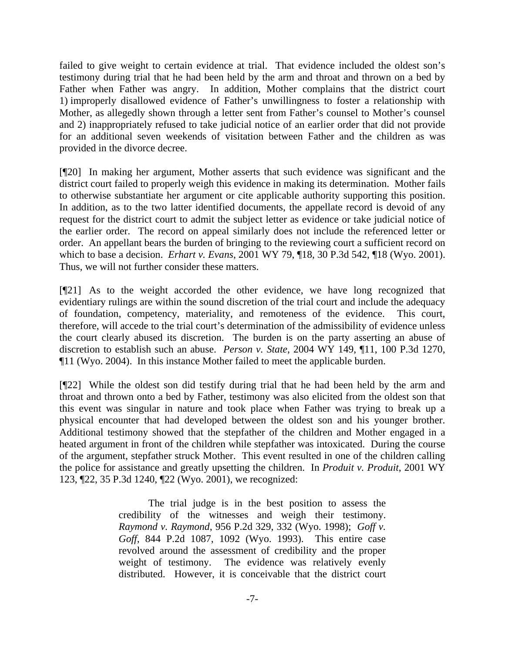failed to give weight to certain evidence at trial. That evidence included the oldest son's testimony during trial that he had been held by the arm and throat and thrown on a bed by Father when Father was angry. In addition, Mother complains that the district court 1) improperly disallowed evidence of Father's unwillingness to foster a relationship with Mother, as allegedly shown through a letter sent from Father's counsel to Mother's counsel and 2) inappropriately refused to take judicial notice of an earlier order that did not provide for an additional seven weekends of visitation between Father and the children as was provided in the divorce decree.

[¶20] In making her argument, Mother asserts that such evidence was significant and the district court failed to properly weigh this evidence in making its determination. Mother fails to otherwise substantiate her argument or cite applicable authority supporting this position. In addition, as to the two latter identified documents, the appellate record is devoid of any request for the district court to admit the subject letter as evidence or take judicial notice of the earlier order. The record on appeal similarly does not include the referenced letter or order. An appellant bears the burden of bringing to the reviewing court a sufficient record on which to base a decision. *Erhart v. Evans*, 2001 WY 79, ¶18, 30 P.3d 542, ¶18 (Wyo. 2001). Thus, we will not further consider these matters.

[¶21] As to the weight accorded the other evidence, we have long recognized that evidentiary rulings are within the sound discretion of the trial court and include the adequacy of foundation, competency, materiality, and remoteness of the evidence. This court, therefore, will accede to the trial court's determination of the admissibility of evidence unless the court clearly abused its discretion. The burden is on the party asserting an abuse of discretion to establish such an abuse. *Person v. State*, 2004 WY 149, ¶11, 100 P.3d 1270, ¶11 (Wyo. 2004). In this instance Mother failed to meet the applicable burden.

[¶22] While the oldest son did testify during trial that he had been held by the arm and throat and thrown onto a bed by Father, testimony was also elicited from the oldest son that this event was singular in nature and took place when Father was trying to break up a physical encounter that had developed between the oldest son and his younger brother. Additional testimony showed that the stepfather of the children and Mother engaged in a heated argument in front of the children while stepfather was intoxicated. During the course of the argument, stepfather struck Mother. This event resulted in one of the children calling the police for assistance and greatly upsetting the children. In *Produit v. Produit*, 2001 WY 123, ¶22, 35 P.3d 1240, ¶22 (Wyo. 2001), we recognized:

> The trial judge is in the best position to assess the credibility of the witnesses and weigh their testimony. *Raymond v. Raymond*, 956 P.2d 329, 332 (Wyo. 1998); *Goff v. Goff*, 844 P.2d 1087, 1092 (Wyo. 1993). This entire case revolved around the assessment of credibility and the proper weight of testimony. The evidence was relatively evenly distributed. However, it is conceivable that the district court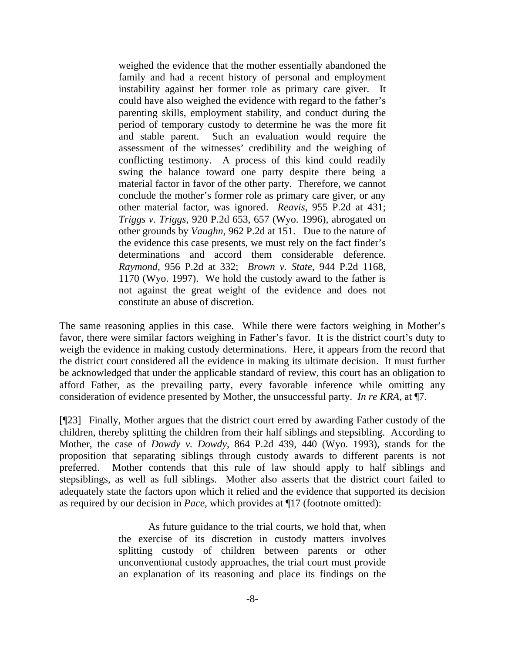weighed the evidence that the mother essentially abandoned the family and had a recent history of personal and employment instability against her former role as primary care giver. It could have also weighed the evidence with regard to the father's parenting skills, employment stability, and conduct during the period of temporary custody to determine he was the more fit and stable parent. Such an evaluation would require the assessment of the witnesses' credibility and the weighing of conflicting testimony. A process of this kind could readily swing the balance toward one party despite there being a material factor in favor of the other party. Therefore, we cannot conclude the mother's former role as primary care giver, or any other material factor, was ignored. *Reavis*, 955 P.2d at 431; *Triggs v. Triggs*, 920 P.2d 653, 657 (Wyo. 1996), abrogated on other grounds by *Vaughn*, 962 P.2d at 151. Due to the nature of the evidence this case presents, we must rely on the fact finder's determinations and accord them considerable deference. *Raymond*, 956 P.2d at 332; *Brown v. State*, 944 P.2d 1168, 1170 (Wyo. 1997). We hold the custody award to the father is not against the great weight of the evidence and does not constitute an abuse of discretion.

The same reasoning applies in this case. While there were factors weighing in Mother's favor, there were similar factors weighing in Father's favor. It is the district court's duty to weigh the evidence in making custody determinations. Here, it appears from the record that the district court considered all the evidence in making its ultimate decision. It must further be acknowledged that under the applicable standard of review, this court has an obligation to afford Father, as the prevailing party, every favorable inference while omitting any consideration of evidence presented by Mother, the unsuccessful party. *In re KRA*, at ¶7.

[¶23] Finally, Mother argues that the district court erred by awarding Father custody of the children, thereby splitting the children from their half siblings and stepsibling. According to Mother, the case of *Dowdy v. Dowdy*, 864 P.2d 439, 440 (Wyo. 1993), stands for the proposition that separating siblings through custody awards to different parents is not preferred. Mother contends that this rule of law should apply to half siblings and stepsiblings, as well as full siblings. Mother also asserts that the district court failed to adequately state the factors upon which it relied and the evidence that supported its decision as required by our decision in *Pace*, which provides at ¶17 (footnote omitted):

> As future guidance to the trial courts, we hold that, when the exercise of its discretion in custody matters involves splitting custody of children between parents or other unconventional custody approaches, the trial court must provide an explanation of its reasoning and place its findings on the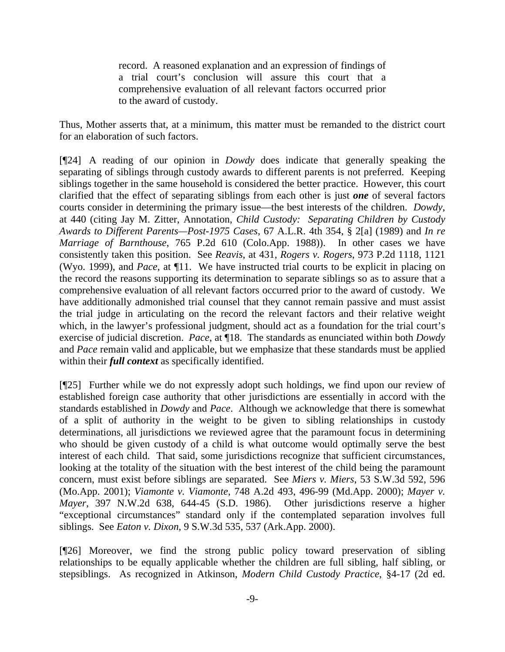record. A reasoned explanation and an expression of findings of a trial court's conclusion will assure this court that a comprehensive evaluation of all relevant factors occurred prior to the award of custody.

Thus, Mother asserts that, at a minimum, this matter must be remanded to the district court for an elaboration of such factors.

[¶24] A reading of our opinion in *Dowdy* does indicate that generally speaking the separating of siblings through custody awards to different parents is not preferred. Keeping siblings together in the same household is considered the better practice. However, this court clarified that the effect of separating siblings from each other is just *one* of several factors courts consider in determining the primary issue—the best interests of the children. *Dowdy,* at 440 (citing Jay M. Zitter, Annotation, *Child Custody: Separating Children by Custody Awards to Different Parents—Post-1975 Cases*, 67 A.L.R. 4th 354, § 2[a] (1989) and *In re Marriage of Barnthouse*, 765 P.2d 610 (Colo.App. 1988)). In other cases we have consistently taken this position. See *Reavis*, at 431, *Rogers v. Rogers*, 973 P.2d 1118, 1121 (Wyo. 1999), and *Pace*, at ¶11. We have instructed trial courts to be explicit in placing on the record the reasons supporting its determination to separate siblings so as to assure that a comprehensive evaluation of all relevant factors occurred prior to the award of custody. We have additionally admonished trial counsel that they cannot remain passive and must assist the trial judge in articulating on the record the relevant factors and their relative weight which, in the lawyer's professional judgment, should act as a foundation for the trial court's exercise of judicial discretion. *Pace*, at ¶18. The standards as enunciated within both *Dowdy*  and *Pace* remain valid and applicable, but we emphasize that these standards must be applied within their *full context* as specifically identified.

[¶25] Further while we do not expressly adopt such holdings, we find upon our review of established foreign case authority that other jurisdictions are essentially in accord with the standards established in *Dowdy* and *Pace*. Although we acknowledge that there is somewhat of a split of authority in the weight to be given to sibling relationships in custody determinations, all jurisdictions we reviewed agree that the paramount focus in determining who should be given custody of a child is what outcome would optimally serve the best interest of each child. That said, some jurisdictions recognize that sufficient circumstances, looking at the totality of the situation with the best interest of the child being the paramount concern, must exist before siblings are separated. See *Miers v. Miers*, 53 S.W.3d 592, 596 (Mo.App. 2001); *Viamonte v. Viamonte*, 748 A.2d 493, 496-99 (Md.App. 2000); *Mayer v. Mayer*, 397 N.W.2d 638, 644-45 (S.D. 1986). Other jurisdictions reserve a higher "exceptional circumstances" standard only if the contemplated separation involves full siblings. See *Eaton v. Dixon*, 9 S.W.3d 535, 537 (Ark.App. 2000).

[¶26] Moreover, we find the strong public policy toward preservation of sibling relationships to be equally applicable whether the children are full sibling, half sibling, or stepsiblings. As recognized in Atkinson, *Modern Child Custody Practice*, §4-17 (2d ed.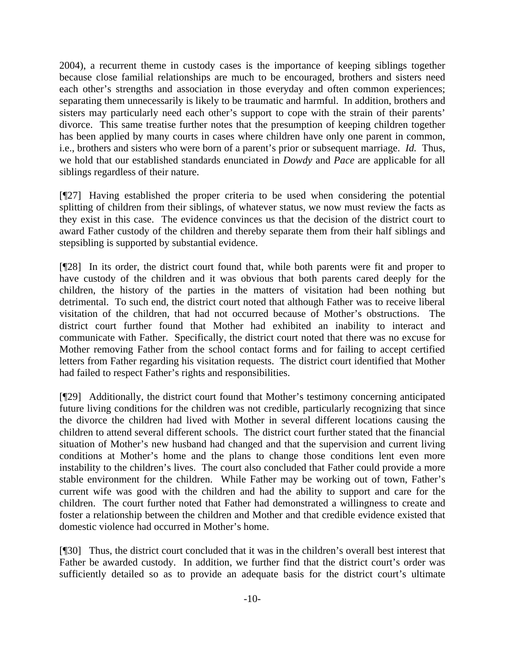2004), a recurrent theme in custody cases is the importance of keeping siblings together because close familial relationships are much to be encouraged, brothers and sisters need each other's strengths and association in those everyday and often common experiences; separating them unnecessarily is likely to be traumatic and harmful. In addition, brothers and sisters may particularly need each other's support to cope with the strain of their parents' divorce. This same treatise further notes that the presumption of keeping children together has been applied by many courts in cases where children have only one parent in common, i.e., brothers and sisters who were born of a parent's prior or subsequent marriage. *Id.* Thus, we hold that our established standards enunciated in *Dowdy* and *Pace* are applicable for all siblings regardless of their nature.

[¶27] Having established the proper criteria to be used when considering the potential splitting of children from their siblings, of whatever status, we now must review the facts as they exist in this case. The evidence convinces us that the decision of the district court to award Father custody of the children and thereby separate them from their half siblings and stepsibling is supported by substantial evidence.

[¶28] In its order, the district court found that, while both parents were fit and proper to have custody of the children and it was obvious that both parents cared deeply for the children, the history of the parties in the matters of visitation had been nothing but detrimental. To such end, the district court noted that although Father was to receive liberal visitation of the children, that had not occurred because of Mother's obstructions. The district court further found that Mother had exhibited an inability to interact and communicate with Father. Specifically, the district court noted that there was no excuse for Mother removing Father from the school contact forms and for failing to accept certified letters from Father regarding his visitation requests. The district court identified that Mother had failed to respect Father's rights and responsibilities.

[¶29] Additionally, the district court found that Mother's testimony concerning anticipated future living conditions for the children was not credible, particularly recognizing that since the divorce the children had lived with Mother in several different locations causing the children to attend several different schools. The district court further stated that the financial situation of Mother's new husband had changed and that the supervision and current living conditions at Mother's home and the plans to change those conditions lent even more instability to the children's lives. The court also concluded that Father could provide a more stable environment for the children. While Father may be working out of town, Father's current wife was good with the children and had the ability to support and care for the children. The court further noted that Father had demonstrated a willingness to create and foster a relationship between the children and Mother and that credible evidence existed that domestic violence had occurred in Mother's home.

[¶30] Thus, the district court concluded that it was in the children's overall best interest that Father be awarded custody. In addition, we further find that the district court's order was sufficiently detailed so as to provide an adequate basis for the district court's ultimate